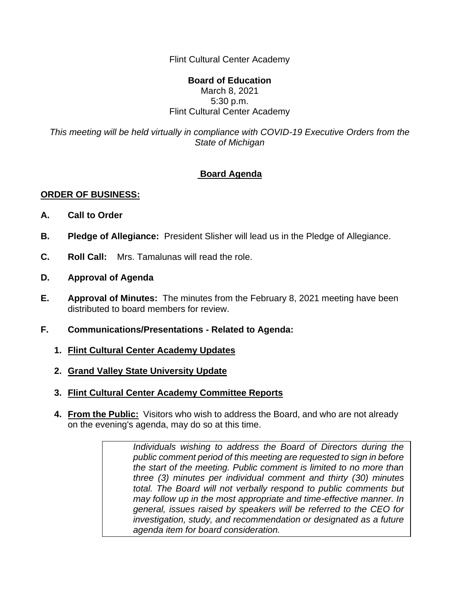Flint Cultural Center Academy

## **Board of Education** March 8, 2021 5:30 p.m. Flint Cultural Center Academy

*This meeting will be held virtually in compliance with COVID-19 Executive Orders from the State of Michigan*

## **Board Agenda**

## **ORDER OF BUSINESS:**

- **A. Call to Order**
- **B. Pledge of Allegiance:** President Slisher will lead us in the Pledge of Allegiance.
- **C. Roll Call:** Mrs. Tamalunas will read the role.
- **D. Approval of Agenda**
- **E. Approval of Minutes:** The minutes from the February 8, 2021 meeting have been distributed to board members for review.
- **F. Communications/Presentations - Related to Agenda:**
	- **1. Flint Cultural Center Academy Updates**
	- **2. Grand Valley State University Update**
	- **3. Flint Cultural Center Academy Committee Reports**
	- **4. From the Public:** Visitors who wish to address the Board, and who are not already on the evening's agenda, may do so at this time.

*Individuals wishing to address the Board of Directors during the public comment period of this meeting are requested to sign in before the start of the meeting. Public comment is limited to no more than three (3) minutes per individual comment and thirty (30) minutes total. The Board will not verbally respond to public comments but may follow up in the most appropriate and time-effective manner. In general, issues raised by speakers will be referred to the CEO for investigation, study, and recommendation or designated as a future agenda item for board consideration.*